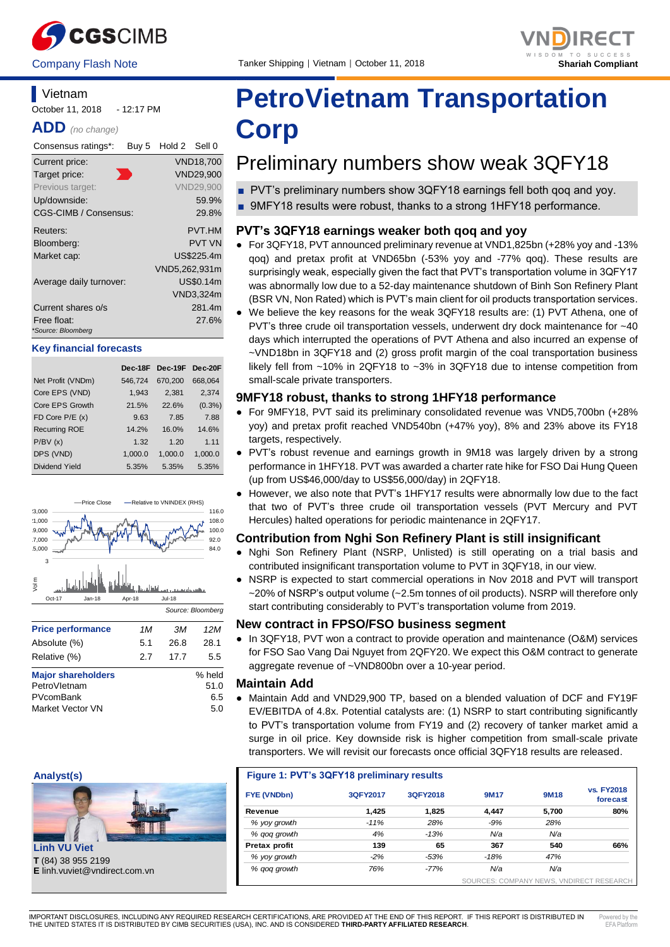



#### **Vietnam** October 11, 2018 - 12:17 PM

**ADD** *(no change)*

| Consensus ratings*:     | Buy 5 | Hold 2 Sell 0 |                  |
|-------------------------|-------|---------------|------------------|
| Current price:          |       |               | <b>VND18,700</b> |
| Target price:           |       |               | <b>VND29,900</b> |
| Previous target:        |       |               | <b>VND29,900</b> |
| Up/downside:            |       |               | 59.9%            |
| CGS-CIMB / Consensus:   |       |               | 29.8%            |
| Reuters:                |       |               | <b>PVT.HM</b>    |
| Bloomberg:              |       |               | <b>PVT VN</b>    |
| Market cap:             |       |               | US\$225.4m       |
|                         |       | VND5,262,931m |                  |
| Average daily turnover: |       |               | US\$0.14m        |
|                         |       |               | VND3,324m        |
| Current shares o/s      |       |               | 281.4m           |
| Free float:             |       |               | 27.6%            |
| *Source: Bloomberg      |       |               |                  |

#### **Key financial forecasts**

|                      | Dec-18F | $Dec-19F$ | Dec-20F   |
|----------------------|---------|-----------|-----------|
| Net Profit (VNDm)    | 546.724 | 670.200   | 668.064   |
| Core EPS (VND)       | 1,943   | 2,381     | 2,374     |
| Core EPS Growth      | 21.5%   | 22.6%     | $(0.3\%)$ |
| FD Core $P/E(x)$     | 9.63    | 7.85      | 7.88      |
| <b>Recurring ROE</b> | 14.2%   | 16.0%     | 14.6%     |
| P/BV(x)              | 1.32    | 1.20      | 1 1 1     |
| DPS (VND)            | 1,000.0 | 1,000.0   | 1.000.0   |
| Dividend Yield       | 5.35%   | 5.35%     | 5.35%     |
|                      |         |           |           |



| PetroVletnam     | 51.0 |
|------------------|------|
| PVcomBank        | 6.5  |
| Market Vector VN | 5.0  |
|                  |      |
|                  |      |





**T** (84) 38 955 2199

# **PetroVietnam Transportation Corp**

## Preliminary numbers show weak 3QFY18

- PVT's preliminary numbers show 3QFY18 earnings fell both gog and yoy.
- 9MFY18 results were robust, thanks to a strong 1HFY18 performance.

#### **PVT's 3QFY18 earnings weaker both qoq and yoy**

- For 3QFY18, PVT announced preliminary revenue at VND1,825bn (+28% yoy and -13% qoq) and pretax profit at VND65bn (-53% yoy and -77% qoq). These results are surprisingly weak, especially given the fact that PVT's transportation volume in 3QFY17 was abnormally low due to a 52-day maintenance shutdown of Binh Son Refinery Plant (BSR VN, Non Rated) which is PVT's main client for oil products transportation services.
- We believe the key reasons for the weak 3QFY18 results are: (1) PVT Athena, one of PVT's three crude oil transportation vessels, underwent dry dock maintenance for ~40 days which interrupted the operations of PVT Athena and also incurred an expense of ~VND18bn in 3QFY18 and (2) gross profit margin of the coal transportation business likely fell from ~10% in 2QFY18 to ~3% in 3QFY18 due to intense competition from small-scale private transporters.

#### **9MFY18 robust, thanks to strong 1HFY18 performance**

- For 9MFY18, PVT said its preliminary consolidated revenue was VND5,700bn (+28% yoy) and pretax profit reached VND540bn (+47% yoy), 8% and 23% above its FY18 targets, respectively.
- PVT's robust revenue and earnings growth in 9M18 was largely driven by a strong performance in 1HFY18. PVT was awarded a charter rate hike for FSO Dai Hung Queen (up from US\$46,000/day to US\$56,000/day) in 2QFY18.
- However, we also note that PVT's 1HFY17 results were abnormally low due to the fact that two of PVT's three crude oil transportation vessels (PVT Mercury and PVT Hercules) halted operations for periodic maintenance in 2QFY17.

#### **Contribution from Nghi Son Refinery Plant is still insignificant**

- Nghi Son Refinery Plant (NSRP, Unlisted) is still operating on a trial basis and contributed insignificant transportation volume to PVT in 3QFY18, in our view.
- NSRP is expected to start commercial operations in Nov 2018 and PVT will transport ~20% of NSRP's output volume (~2.5m tonnes of oil products). NSRP will therefore only start contributing considerably to PVT's transportation volume from 2019.

#### **New contract in FPSO/FSO business segment**

● In 3QFY18, PVT won a contract to provide operation and maintenance (O&M) services for FSO Sao Vang Dai Nguyet from 2QFY20. We expect this O&M contract to generate aggregate revenue of ~VND800bn over a 10-year period.

#### **Maintain Add**

● Maintain Add and VND29,900 TP, based on a blended valuation of DCF and FY19F EV/EBITDA of 4.8x. Potential catalysts are: (1) NSRP to start contributing significantly to PVT's transportation volume from FY19 and (2) recovery of tanker market amid a surge in oil price. Key downside risk is higher competition from small-scale private transporters. We will revisit our forecasts once official 3QFY18 results are released.

| Figure 1: PVT's 3QFY18 preliminary results |          |          |                                          |             |                               |
|--------------------------------------------|----------|----------|------------------------------------------|-------------|-------------------------------|
| FYE (VNDbn)                                | 3QFY2017 | 3QFY2018 | <b>9M17</b>                              | <b>9M18</b> | <b>vs. FY2018</b><br>forecast |
| Revenue                                    | 1.425    | 1.825    | 4,447                                    | 5.700       | 80%                           |
| % yoy growth                               | $-11%$   | 28%      | $-9%$                                    | 28%         |                               |
| % gog growth                               | 4%       | $-13%$   | N/a                                      | N/a         |                               |
| Pretax profit                              | 139      | 65       | 367                                      | 540         | 66%                           |
| % yoy growth                               | $-2%$    | $-53%$   | $-18%$                                   | 47%         |                               |
| % gog growth                               | 76%      | $-77%$   | N/a                                      | N/a         |                               |
|                                            |          |          | COURCES, COMPANY NEWS VAIRIBEOT BESEARCH |             |                               |

SOURCES: COMPANY NEWS, VNDIRECT RESEARCH

Powered by the EEA DIA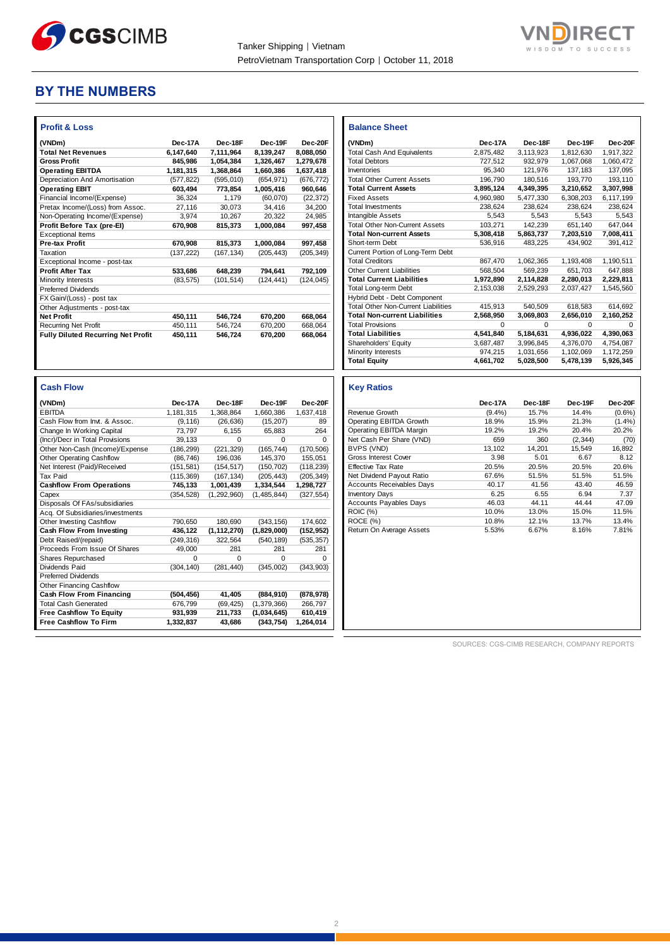

**Balance Sheet** 

**Total Current Assets 3,895,124 4,349,395 3,210,652 3,307,998**

Short-term Debt



### **BY THE NUMBERS**

| <b>Profit &amp; Loss</b>                  |            |            |            |            |
|-------------------------------------------|------------|------------|------------|------------|
| (VNDm)                                    | Dec-17A    | Dec-18F    | Dec-19F    | Dec-20F    |
| <b>Total Net Revenues</b>                 | 6,147,640  | 7,111,964  | 8,139,247  | 8,088,050  |
| <b>Gross Profit</b>                       | 845.986    | 1.054.384  | 1,326,467  | 1.279.678  |
| <b>Operating EBITDA</b>                   | 1,181,315  | 1.368.864  | 1,660,386  | 1,637,418  |
| Depreciation And Amortisation             | (577, 822) | (595, 010) | (654, 971) | (676, 772) |
| <b>Operating EBIT</b>                     | 603,494    | 773,854    | 1,005,416  | 960,646    |
| Financial Income/(Expense)                | 36,324     | 1.179      | (60.070)   | (22, 372)  |
| Pretax Income/(Loss) from Assoc.          | 27.116     | 30.073     | 34.416     | 34.200     |
| Non-Operating Income/(Expense)            | 3.974      | 10.267     | 20.322     | 24.985     |
| Profit Before Tax (pre-El)                | 670.908    | 815.373    | 1,000,084  | 997.458    |
| <b>Exceptional Items</b>                  |            |            |            |            |
| <b>Pre-tax Profit</b>                     | 670,908    | 815,373    | 1,000,084  | 997,458    |
| Taxation                                  | (137, 222) | (167, 134) | (205, 443) | (205, 349) |
| Exceptional Income - post-tax             |            |            |            |            |
| <b>Profit After Tax</b>                   | 533,686    | 648,239    | 794.641    | 792,109    |
| Minority Interests                        | (83, 575)  | (101, 514) | (124, 441) | (124, 045) |
| <b>Preferred Dividends</b>                |            |            |            |            |
| FX Gain/(Loss) - post tax                 |            |            |            |            |
| Other Adjustments - post-tax              |            |            |            |            |
| <b>Net Profit</b>                         | 450,111    | 546,724    | 670,200    | 668,064    |
| <b>Recurring Net Profit</b>               | 450.111    | 546,724    | 670,200    | 668,064    |
| <b>Fully Diluted Recurring Net Profit</b> | 450.111    | 546,724    | 670,200    | 668.064    |
|                                           |            |            |            |            |

| Taxation                                  | (137, 222) | (167, 134)    | (205, 443)  | (205, 349) | Current Portion of Long-Term Debt          |           |           |           |             |
|-------------------------------------------|------------|---------------|-------------|------------|--------------------------------------------|-----------|-----------|-----------|-------------|
| Exceptional Income - post-tax             |            |               |             |            | <b>Total Creditors</b>                     | 867,470   | 1,062,365 | 1,193,408 | 1,190,511   |
| <b>Profit After Tax</b>                   | 533,686    | 648,239       | 794,641     | 792,109    | Other Current Liabilities                  | 568,504   | 569,239   | 651,703   | 647,888     |
| Minority Interests                        | (83, 575)  | (101, 514)    | (124, 441)  | (124, 045) | <b>Total Current Liabilities</b>           | 1,972,890 | 2,114,828 | 2,280,013 | 2,229,811   |
| Preferred Dividends                       |            |               |             |            | <b>Total Long-term Debt</b>                | 2,153,038 | 2,529,293 | 2,037,427 | 1,545,560   |
| FX Gain/(Loss) - post tax                 |            |               |             |            | Hybrid Debt - Debt Component               |           |           |           |             |
| Other Adjustments - post-tax              |            |               |             |            | <b>Total Other Non-Current Liabilities</b> | 415,913   | 540,509   | 618,583   | 614,692     |
| <b>Net Profit</b>                         | 450,111    | 546,724       | 670,200     | 668,064    | <b>Total Non-current Liabilities</b>       | 2,568,950 | 3,069,803 | 2,656,010 | 2,160,252   |
| Recurring Net Profit                      | 450,111    | 546,724       | 670,200     | 668,064    | <b>Total Provisions</b>                    | 0         | 0         | 0         | $\mathbf 0$ |
| <b>Fully Diluted Recurring Net Profit</b> | 450,111    | 546,724       | 670,200     | 668,064    | <b>Total Liabilities</b>                   | 4,541,840 | 5,184,631 | 4,936,022 | 4,390,063   |
|                                           |            |               |             |            | Shareholders' Equity                       | 3,687,487 | 3,996,845 | 4,376,070 | 4,754,087   |
|                                           |            |               |             |            | Minority Interests                         | 974,215   | 1,031,656 | 1,102,069 | 1,172,259   |
|                                           |            |               |             |            | <b>Total Equity</b>                        | 4,661,702 | 5,028,500 | 5,478,139 | 5,926,345   |
| <b>Cash Flow</b>                          |            |               |             |            | <b>Key Ratios</b>                          |           |           |           |             |
| (VNDm)                                    | Dec-17A    | Dec-18F       | Dec-19F     | Dec-20F    |                                            | Dec-17A   | Dec-18F   | Dec-19F   | Dec-20F     |
| <b>EBITDA</b>                             | 1,181,315  | 1,368,864     | 1,660,386   | 1,637,418  | Revenue Growth                             | (9.4%)    | 15.7%     | 14.4%     | $(0.6\%)$   |
| Cash Flow from Invt. & Assoc.             | (9, 116)   | (26, 636)     | (15, 207)   | 89         | Operating EBITDA Growth                    | 18.9%     | 15.9%     | 21.3%     | (1.4%)      |
| Change In Working Capital                 | 73,797     | 6,155         | 65,883      | 264        | Operating EBITDA Margin                    | 19.2%     | 19.2%     | 20.4%     | 20.2%       |
| (Incr)/Decr in Total Provisions           | 39,133     | 0             | 0           | 0          | Net Cash Per Share (VND)                   | 659       | 360       | (2, 344)  | (70)        |
| Other Non-Cash (Income)/Expense           | (186, 299) | (221, 329)    | (165, 744)  | (170, 506) | BVPS (VND)                                 | 13,102    | 14,201    | 15,549    | 16,892      |
| <b>Other Operating Cashflow</b>           | (86, 746)  | 196,036       | 145,370     | 155,051    | <b>Gross Interest Cover</b>                | 3.98      | 5.01      | 6.67      | 8.12        |
| Net Interest (Paid)/Received              | (151, 581) | (154, 517)    | (150, 702)  | (118, 239) | <b>Effective Tax Rate</b>                  | 20.5%     | 20.5%     | 20.5%     | 20.6%       |
| <b>Tax Paid</b>                           | (115, 369) | (167, 134)    | (205, 443)  | (205, 349) | Net Dividend Payout Ratio                  | 67.6%     | 51.5%     | 51.5%     | 51.5%       |
| <b>Cashflow From Operations</b>           | 745,133    | 1,001,439     | 1,334,544   | 1,298,727  | <b>Accounts Receivables Days</b>           | 40.17     | 41.56     | 43.40     | 46.59       |
| Capex                                     | (354, 528) | (1, 292, 960) | (1,485,844) | (327, 554) | <b>Inventory Days</b>                      | 6.25      | 6.55      | 6.94      | 7.37        |
| Disposals Of FAs/subsidiaries             |            |               |             |            | <b>Accounts Payables Days</b>              | 46.03     | 44.11     | 44.44     | 47.09       |
| Acq. Of Subsidiaries/investments          |            |               |             |            | <b>ROIC (%)</b>                            | 10.0%     | 13.0%     | 15.0%     | 11.5%       |
| Other Investing Cashflow                  | 790,650    | 180,690       | (343, 156)  | 174,602    | ROCE (%)                                   | 10.8%     | 12.1%     | 13.7%     | 13.4%       |
| <b>Cash Flow From Investing</b>           | 436,122    | (1, 112, 270) | (1,829,000) | (152, 952) | Return On Average Assets                   | 5.53%     | 6.67%     | 8.16%     | 7.81%       |
| Debt Raised/(repaid)                      | (249, 316) | 322,564       | (540, 189)  | (535, 357) |                                            |           |           |           |             |
| Proceeds From Issue Of Shares             | 49,000     | 281           | 281         | 281        |                                            |           |           |           |             |
| Shares Repurchased                        | 0          | 0             | 0           | $\Omega$   |                                            |           |           |           |             |
| Dividends Paid                            | (304, 140) | (281, 440)    | (345,002)   | (343,903)  |                                            |           |           |           |             |
| <b>Preferred Dividends</b>                |            |               |             |            |                                            |           |           |           |             |
| Other Financing Cashflow                  |            |               |             |            |                                            |           |           |           |             |
| <b>Cash Flow From Financing</b>           | (504, 456) | 41,405        | (884, 910)  | (878, 978) |                                            |           |           |           |             |
| <b>Total Cash Generated</b>               | 676,799    | (69, 425)     | (1,379,366) | 266,797    |                                            |           |           |           |             |
| <b>Free Cashflow To Equity</b>            | 931,939    | 211,733       | (1,034,645) | 610,419    |                                            |           |           |           |             |
| <b>Free Cashflow To Firm</b>              | 1,332,837  | 43,686        | (343, 754)  | 1,264,014  |                                            |           |           |           |             |

**(VNDm) Dec-17A Dec-18F Dec-19F Dec-20F** Total Cash And Equivalents 2,875,482 3,113,923 1,812,630 1,917,322<br>
Total Debtors 202,979 1,067,068 1,060,472 Total Debtors 727,512 932,979 1,067,068 1,060,472<br>
Inventories 95,340 121,976 137,183 137,095 Inventories 95,340 121,976 137,183 137,095<br>
Total Other Current Assets 196,790 180,516 193,770 193,110 Total Other Current Assets 196,790 180,516 193,770 193,110<br> **Total Current Assets** 3,895,124 4,349,395 3,210,652 3,307,998

Fixed Assets 4,960,980 5,477,330 6,308,203 6,117,199 Total Investments 238,624 238,624 238,624 238,624 **Intangible Assets** 5,543 5,543 5,543 5,543 Total Other Non-Current Assets 103,271 142,239 651,140 647,044<br> **Total Non-current Assets** 5,308,418 5,863,737 7,203,510 7,008,411 **Total Non-current Assets 5,308,418 5,863,737 7,203,510 7,008,411**

SOURCES: CGS-CIMB RESEARCH, COMPANY REPORTS

2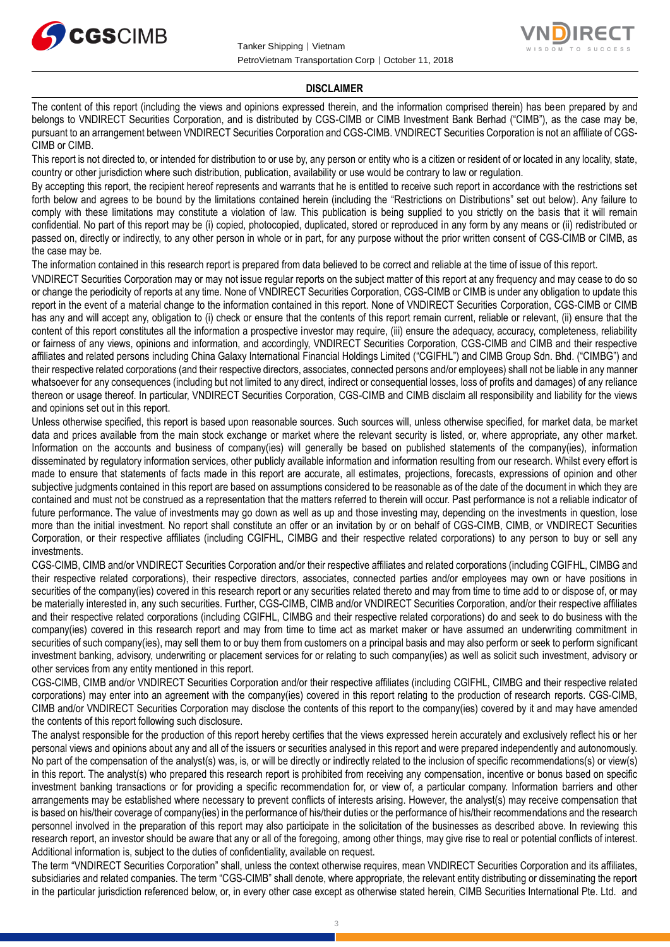



#### **DISCLAIMER**

The content of this report (including the views and opinions expressed therein, and the information comprised therein) has been prepared by and belongs to VNDIRECT Securities Corporation, and is distributed by CGS-CIMB or CIMB Investment Bank Berhad ("CIMB"), as the case may be, pursuant to an arrangement between VNDIRECT Securities Corporation and CGS-CIMB. VNDIRECT Securities Corporation is not an affiliate of CGS-CIMB or CIMB.

This report is not directed to, or intended for distribution to or use by, any person or entity who is a citizen or resident of or located in any locality, state, country or other jurisdiction where such distribution, publication, availability or use would be contrary to law or regulation.

By accepting this report, the recipient hereof represents and warrants that he is entitled to receive such report in accordance with the restrictions set forth below and agrees to be bound by the limitations contained herein (including the "Restrictions on Distributions" set out below). Any failure to comply with these limitations may constitute a violation of law. This publication is being supplied to you strictly on the basis that it will remain confidential. No part of this report may be (i) copied, photocopied, duplicated, stored or reproduced in any form by any means or (ii) redistributed or passed on, directly or indirectly, to any other person in whole or in part, for any purpose without the prior written consent of CGS-CIMB or CIMB, as the case may be.

The information contained in this research report is prepared from data believed to be correct and reliable at the time of issue of this report.

VNDIRECT Securities Corporation may or may not issue regular reports on the subject matter of this report at any frequency and may cease to do so or change the periodicity of reports at any time. None of VNDIRECT Securities Corporation, CGS-CIMB or CIMB is under any obligation to update this report in the event of a material change to the information contained in this report. None of VNDIRECT Securities Corporation, CGS-CIMB or CIMB has any and will accept any, obligation to (i) check or ensure that the contents of this report remain current, reliable or relevant, (ii) ensure that the content of this report constitutes all the information a prospective investor may require, (iii) ensure the adequacy, accuracy, completeness, reliability or fairness of any views, opinions and information, and accordingly, VNDIRECT Securities Corporation, CGS-CIMB and CIMB and their respective affiliates and related persons including China Galaxy International Financial Holdings Limited ("CGIFHL") and CIMB Group Sdn. Bhd. ("CIMBG") and their respective related corporations (and their respective directors, associates, connected persons and/or employees) shall not be liable in any manner whatsoever for any consequences (including but not limited to any direct, indirect or consequential losses, loss of profits and damages) of any reliance thereon or usage thereof. In particular, VNDIRECT Securities Corporation, CGS-CIMB and CIMB disclaim all responsibility and liability for the views and opinions set out in this report.

Unless otherwise specified, this report is based upon reasonable sources. Such sources will, unless otherwise specified, for market data, be market data and prices available from the main stock exchange or market where the relevant security is listed, or, where appropriate, any other market. Information on the accounts and business of company(ies) will generally be based on published statements of the company(ies), information disseminated by regulatory information services, other publicly available information and information resulting from our research. Whilst every effort is made to ensure that statements of facts made in this report are accurate, all estimates, projections, forecasts, expressions of opinion and other subjective judgments contained in this report are based on assumptions considered to be reasonable as of the date of the document in which they are contained and must not be construed as a representation that the matters referred to therein will occur. Past performance is not a reliable indicator of future performance. The value of investments may go down as well as up and those investing may, depending on the investments in question, lose more than the initial investment. No report shall constitute an offer or an invitation by or on behalf of CGS-CIMB, CIMB, or VNDIRECT Securities Corporation, or their respective affiliates (including CGIFHL, CIMBG and their respective related corporations) to any person to buy or sell any investments.

CGS-CIMB, CIMB and/or VNDIRECT Securities Corporation and/or their respective affiliates and related corporations (including CGIFHL, CIMBG and their respective related corporations), their respective directors, associates, connected parties and/or employees may own or have positions in securities of the company(ies) covered in this research report or any securities related thereto and may from time to time add to or dispose of, or may be materially interested in, any such securities. Further, CGS-CIMB, CIMB and/or VNDIRECT Securities Corporation, and/or their respective affiliates and their respective related corporations (including CGIFHL, CIMBG and their respective related corporations) do and seek to do business with the company(ies) covered in this research report and may from time to time act as market maker or have assumed an underwriting commitment in securities of such company(ies), may sell them to or buy them from customers on a principal basis and may also perform or seek to perform significant investment banking, advisory, underwriting or placement services for or relating to such company(ies) as well as solicit such investment, advisory or other services from any entity mentioned in this report.

CGS-CIMB, CIMB and/or VNDIRECT Securities Corporation and/or their respective affiliates (including CGIFHL, CIMBG and their respective related corporations) may enter into an agreement with the company(ies) covered in this report relating to the production of research reports. CGS-CIMB, CIMB and/or VNDIRECT Securities Corporation may disclose the contents of this report to the company(ies) covered by it and may have amended the contents of this report following such disclosure.

The analyst responsible for the production of this report hereby certifies that the views expressed herein accurately and exclusively reflect his or her personal views and opinions about any and all of the issuers or securities analysed in this report and were prepared independently and autonomously. No part of the compensation of the analyst(s) was, is, or will be directly or indirectly related to the inclusion of specific recommendations(s) or view(s) in this report. The analyst(s) who prepared this research report is prohibited from receiving any compensation, incentive or bonus based on specific investment banking transactions or for providing a specific recommendation for, or view of, a particular company. Information barriers and other arrangements may be established where necessary to prevent conflicts of interests arising. However, the analyst(s) may receive compensation that is based on his/their coverage of company(ies) in the performance of his/their duties or the performance of his/their recommendations and the research personnel involved in the preparation of this report may also participate in the solicitation of the businesses as described above. In reviewing this research report, an investor should be aware that any or all of the foregoing, among other things, may give rise to real or potential conflicts of interest. Additional information is, subject to the duties of confidentiality, available on request.

The term "VNDIRECT Securities Corporation" shall, unless the context otherwise requires, mean VNDIRECT Securities Corporation and its affiliates, subsidiaries and related companies. The term "CGS-CIMB" shall denote, where appropriate, the relevant entity distributing or disseminating the report in the particular jurisdiction referenced below, or, in every other case except as otherwise stated herein, CIMB Securities International Pte. Ltd. and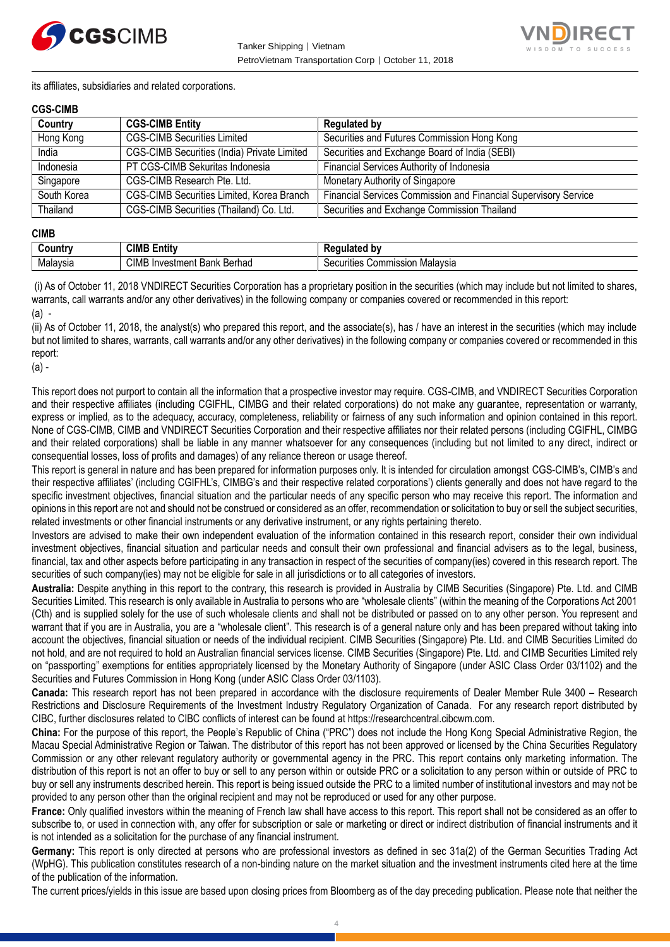



its affiliates, subsidiaries and related corporations.

#### **CGS-CIMB**

| Country     | <b>CGS-CIMB Entity</b>                             | <b>Regulated by</b>                                             |
|-------------|----------------------------------------------------|-----------------------------------------------------------------|
| Hong Kong   | <b>CGS-CIMB Securities Limited</b>                 | Securities and Futures Commission Hong Kong                     |
| India       | <b>CGS-CIMB Securities (India) Private Limited</b> | Securities and Exchange Board of India (SEBI)                   |
| Indonesia   | PT CGS-CIMB Sekuritas Indonesia                    | Financial Services Authority of Indonesia                       |
| Singapore   | CGS-CIMB Research Pte. Ltd.                        | Monetary Authority of Singapore                                 |
| South Korea | CGS-CIMB Securities Limited, Korea Branch          | Financial Services Commission and Financial Supervisory Service |
| Thailand    | CGS-CIMB Securities (Thailand) Co. Ltd.            | Securities and Exchange Commission Thailand                     |

#### **CIMB**

| . .<br>∶ountr | <b>CIMB E</b><br><br><b>Entit</b> v                         | b٧<br>$\mathbf{H}$<br>M                     |
|---------------|-------------------------------------------------------------|---------------------------------------------|
| Malavsia      | <b>CIMB</b><br>Berhad<br>Investment<br><b>Daniz</b><br>Odl' | . Malavsia<br>`ommission<br>ecurities<br>ັບ |

(i) As of October 11, 2018 VNDIRECT Securities Corporation has a proprietary position in the securities (which may include but not limited to shares, warrants, call warrants and/or any other derivatives) in the following company or companies covered or recommended in this report: (a) -

(ii) As of October 11, 2018, the analyst(s) who prepared this report, and the associate(s), has / have an interest in the securities (which may include but not limited to shares, warrants, call warrants and/or any other derivatives) in the following company or companies covered or recommended in this report:

(a) -

This report does not purport to contain all the information that a prospective investor may require. CGS-CIMB, and VNDIRECT Securities Corporation and their respective affiliates (including CGIFHL, CIMBG and their related corporations) do not make any guarantee, representation or warranty, express or implied, as to the adequacy, accuracy, completeness, reliability or fairness of any such information and opinion contained in this report. None of CGS-CIMB, CIMB and VNDIRECT Securities Corporation and their respective affiliates nor their related persons (including CGIFHL, CIMBG and their related corporations) shall be liable in any manner whatsoever for any consequences (including but not limited to any direct, indirect or consequential losses, loss of profits and damages) of any reliance thereon or usage thereof.

This report is general in nature and has been prepared for information purposes only. It is intended for circulation amongst CGS-CIMB's, CIMB's and their respective affiliates' (including CGIFHL's, CIMBG's and their respective related corporations') clients generally and does not have regard to the specific investment objectives, financial situation and the particular needs of any specific person who may receive this report. The information and opinions in this report are not and should not be construed or considered as an offer, recommendation or solicitation to buy or sell the subject securities, related investments or other financial instruments or any derivative instrument, or any rights pertaining thereto.

Investors are advised to make their own independent evaluation of the information contained in this research report, consider their own individual investment objectives, financial situation and particular needs and consult their own professional and financial advisers as to the legal, business, financial, tax and other aspects before participating in any transaction in respect of the securities of company(ies) covered in this research report. The securities of such company(ies) may not be eligible for sale in all jurisdictions or to all categories of investors.

**Australia:** Despite anything in this report to the contrary, this research is provided in Australia by CIMB Securities (Singapore) Pte. Ltd. and CIMB Securities Limited. This research is only available in Australia to persons who are "wholesale clients" (within the meaning of the Corporations Act 2001 (Cth) and is supplied solely for the use of such wholesale clients and shall not be distributed or passed on to any other person. You represent and warrant that if you are in Australia, you are a "wholesale client". This research is of a general nature only and has been prepared without taking into account the objectives, financial situation or needs of the individual recipient. CIMB Securities (Singapore) Pte. Ltd. and CIMB Securities Limited do not hold, and are not required to hold an Australian financial services license. CIMB Securities (Singapore) Pte. Ltd. and CIMB Securities Limited rely on "passporting" exemptions for entities appropriately licensed by the Monetary Authority of Singapore (under ASIC Class Order 03/1102) and the Securities and Futures Commission in Hong Kong (under ASIC Class Order 03/1103).

**Canada:** This research report has not been prepared in accordance with the disclosure requirements of Dealer Member Rule 3400 – Research Restrictions and Disclosure Requirements of the Investment Industry Regulatory Organization of Canada. For any research report distributed by CIBC, further disclosures related to CIBC conflicts of interest can be found at https://researchcentral.cibcwm.com.

**China:** For the purpose of this report, the People's Republic of China ("PRC") does not include the Hong Kong Special Administrative Region, the Macau Special Administrative Region or Taiwan. The distributor of this report has not been approved or licensed by the China Securities Regulatory Commission or any other relevant regulatory authority or governmental agency in the PRC. This report contains only marketing information. The distribution of this report is not an offer to buy or sell to any person within or outside PRC or a solicitation to any person within or outside of PRC to buy or sell any instruments described herein. This report is being issued outside the PRC to a limited number of institutional investors and may not be provided to any person other than the original recipient and may not be reproduced or used for any other purpose.

**France:** Only qualified investors within the meaning of French law shall have access to this report. This report shall not be considered as an offer to subscribe to, or used in connection with, any offer for subscription or sale or marketing or direct or indirect distribution of financial instruments and it is not intended as a solicitation for the purchase of any financial instrument.

**Germany:** This report is only directed at persons who are professional investors as defined in sec 31a(2) of the German Securities Trading Act (WpHG). This publication constitutes research of a non-binding nature on the market situation and the investment instruments cited here at the time of the publication of the information.

The current prices/yields in this issue are based upon closing prices from Bloomberg as of the day preceding publication. Please note that neither the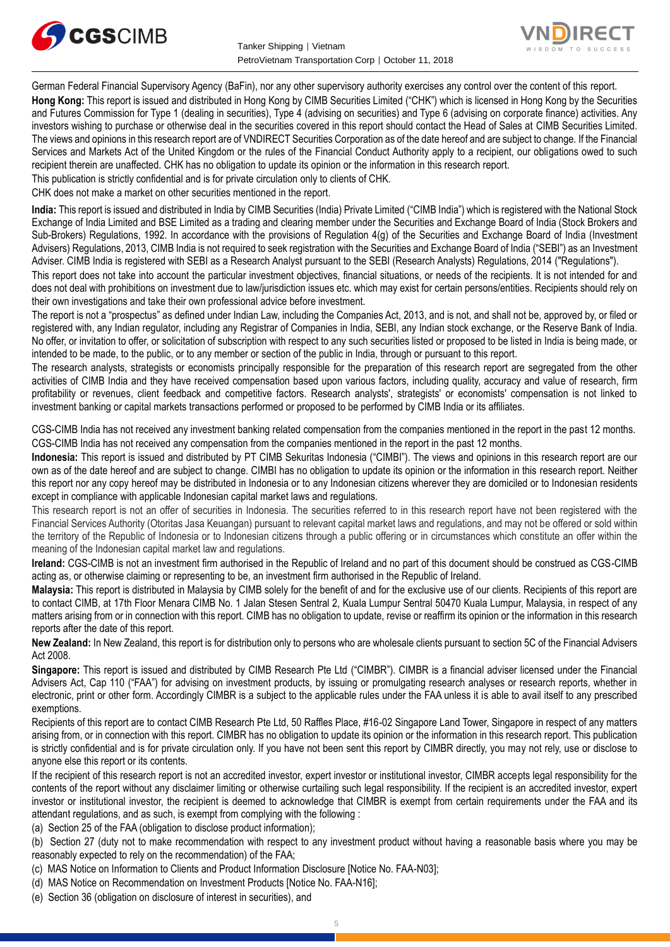



German Federal Financial Supervisory Agency (BaFin), nor any other supervisory authority exercises any control over the content of this report. **Hong Kong:** This report is issued and distributed in Hong Kong by CIMB Securities Limited ("CHK") which is licensed in Hong Kong by the Securities and Futures Commission for Type 1 (dealing in securities), Type 4 (advising on securities) and Type 6 (advising on corporate finance) activities. Any investors wishing to purchase or otherwise deal in the securities covered in this report should contact the Head of Sales at CIMB Securities Limited. The views and opinions in this research report are of VNDIRECT Securities Corporation as of the date hereof and are subject to change. If the Financial Services and Markets Act of the United Kingdom or the rules of the Financial Conduct Authority apply to a recipient, our obligations owed to such recipient therein are unaffected. CHK has no obligation to update its opinion or the information in this research report.

This publication is strictly confidential and is for private circulation only to clients of CHK.

CHK does not make a market on other securities mentioned in the report.

**India:** This report is issued and distributed in India by CIMB Securities (India) Private Limited ("CIMB India") which is registered with the National Stock Exchange of India Limited and BSE Limited as a trading and clearing member under the Securities and Exchange Board of India (Stock Brokers and Sub-Brokers) Regulations, 1992. In accordance with the provisions of Regulation 4(g) of the Securities and Exchange Board of India (Investment Advisers) Regulations, 2013, CIMB India is not required to seek registration with the Securities and Exchange Board of India ("SEBI") as an Investment Adviser. CIMB India is registered with SEBI as a Research Analyst pursuant to the SEBI (Research Analysts) Regulations, 2014 ("Regulations").

This report does not take into account the particular investment objectives, financial situations, or needs of the recipients. It is not intended for and does not deal with prohibitions on investment due to law/jurisdiction issues etc. which may exist for certain persons/entities. Recipients should rely on their own investigations and take their own professional advice before investment.

The report is not a "prospectus" as defined under Indian Law, including the Companies Act, 2013, and is not, and shall not be, approved by, or filed or registered with, any Indian regulator, including any Registrar of Companies in India, SEBI, any Indian stock exchange, or the Reserve Bank of India. No offer, or invitation to offer, or solicitation of subscription with respect to any such securities listed or proposed to be listed in India is being made, or intended to be made, to the public, or to any member or section of the public in India, through or pursuant to this report.

The research analysts, strategists or economists principally responsible for the preparation of this research report are segregated from the other activities of CIMB India and they have received compensation based upon various factors, including quality, accuracy and value of research, firm profitability or revenues, client feedback and competitive factors. Research analysts', strategists' or economists' compensation is not linked to investment banking or capital markets transactions performed or proposed to be performed by CIMB India or its affiliates.

CGS-CIMB India has not received any investment banking related compensation from the companies mentioned in the report in the past 12 months. CGS-CIMB India has not received any compensation from the companies mentioned in the report in the past 12 months.

**Indonesia:** This report is issued and distributed by PT CIMB Sekuritas Indonesia ("CIMBI"). The views and opinions in this research report are our own as of the date hereof and are subject to change. CIMBI has no obligation to update its opinion or the information in this research report. Neither this report nor any copy hereof may be distributed in Indonesia or to any Indonesian citizens wherever they are domiciled or to Indonesian residents except in compliance with applicable Indonesian capital market laws and regulations.

This research report is not an offer of securities in Indonesia. The securities referred to in this research report have not been registered with the Financial Services Authority (Otoritas Jasa Keuangan) pursuant to relevant capital market laws and regulations, and may not be offered or sold within the territory of the Republic of Indonesia or to Indonesian citizens through a public offering or in circumstances which constitute an offer within the meaning of the Indonesian capital market law and regulations.

**Ireland:** CGS-CIMB is not an investment firm authorised in the Republic of Ireland and no part of this document should be construed as CGS-CIMB acting as, or otherwise claiming or representing to be, an investment firm authorised in the Republic of Ireland.

**Malaysia:** This report is distributed in Malaysia by CIMB solely for the benefit of and for the exclusive use of our clients. Recipients of this report are to contact CIMB, at 17th Floor Menara CIMB No. 1 Jalan Stesen Sentral 2, Kuala Lumpur Sentral 50470 Kuala Lumpur, Malaysia, in respect of any matters arising from or in connection with this report. CIMB has no obligation to update, revise or reaffirm its opinion or the information in this research reports after the date of this report.

**New Zealand:** In New Zealand, this report is for distribution only to persons who are wholesale clients pursuant to section 5C of the Financial Advisers Act 2008.

**Singapore:** This report is issued and distributed by CIMB Research Pte Ltd ("CIMBR"). CIMBR is a financial adviser licensed under the Financial Advisers Act, Cap 110 ("FAA") for advising on investment products, by issuing or promulgating research analyses or research reports, whether in electronic, print or other form. Accordingly CIMBR is a subject to the applicable rules under the FAA unless it is able to avail itself to any prescribed exemptions.

Recipients of this report are to contact CIMB Research Pte Ltd, 50 Raffles Place, #16-02 Singapore Land Tower, Singapore in respect of any matters arising from, or in connection with this report. CIMBR has no obligation to update its opinion or the information in this research report. This publication is strictly confidential and is for private circulation only. If you have not been sent this report by CIMBR directly, you may not rely, use or disclose to anyone else this report or its contents.

If the recipient of this research report is not an accredited investor, expert investor or institutional investor, CIMBR accepts legal responsibility for the contents of the report without any disclaimer limiting or otherwise curtailing such legal responsibility. If the recipient is an accredited investor, expert investor or institutional investor, the recipient is deemed to acknowledge that CIMBR is exempt from certain requirements under the FAA and its attendant regulations, and as such, is exempt from complying with the following :

(a) Section 25 of the FAA (obligation to disclose product information);

(b) Section 27 (duty not to make recommendation with respect to any investment product without having a reasonable basis where you may be reasonably expected to rely on the recommendation) of the FAA;

- (c) MAS Notice on Information to Clients and Product Information Disclosure [Notice No. FAA-N03];
- (d) MAS Notice on Recommendation on Investment Products [Notice No. FAA-N16];
- (e) Section 36 (obligation on disclosure of interest in securities), and
- 5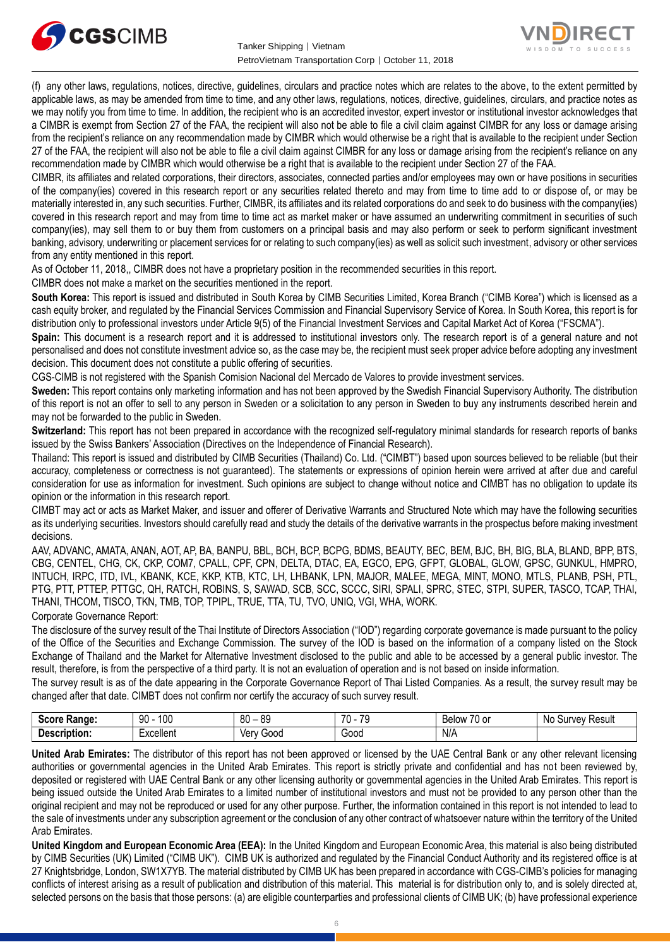



(f) any other laws, regulations, notices, directive, guidelines, circulars and practice notes which are relates to the above, to the extent permitted by applicable laws, as may be amended from time to time, and any other laws, regulations, notices, directive, guidelines, circulars, and practice notes as we may notify you from time to time. In addition, the recipient who is an accredited investor, expert investor or institutional investor acknowledges that a CIMBR is exempt from Section 27 of the FAA, the recipient will also not be able to file a civil claim against CIMBR for any loss or damage arising from the recipient's reliance on any recommendation made by CIMBR which would otherwise be a right that is available to the recipient under Section 27 of the FAA, the recipient will also not be able to file a civil claim against CIMBR for any loss or damage arising from the recipient's reliance on any recommendation made by CIMBR which would otherwise be a right that is available to the recipient under Section 27 of the FAA.

CIMBR, its affiliates and related corporations, their directors, associates, connected parties and/or employees may own or have positions in securities of the company(ies) covered in this research report or any securities related thereto and may from time to time add to or dispose of, or may be materially interested in, any such securities. Further, CIMBR, its affiliates and its related corporations do and seek to do business with the company(ies) covered in this research report and may from time to time act as market maker or have assumed an underwriting commitment in securities of such company(ies), may sell them to or buy them from customers on a principal basis and may also perform or seek to perform significant investment banking, advisory, underwriting or placement services for or relating to such company(ies) as well as solicit such investment, advisory or other services from any entity mentioned in this report.

As of October 11, 2018,, CIMBR does not have a proprietary position in the recommended securities in this report.

CIMBR does not make a market on the securities mentioned in the report.

**South Korea:** This report is issued and distributed in South Korea by CIMB Securities Limited, Korea Branch ("CIMB Korea") which is licensed as a cash equity broker, and regulated by the Financial Services Commission and Financial Supervisory Service of Korea. In South Korea, this report is for distribution only to professional investors under Article 9(5) of the Financial Investment Services and Capital Market Act of Korea ("FSCMA").

**Spain:** This document is a research report and it is addressed to institutional investors only. The research report is of a general nature and not personalised and does not constitute investment advice so, as the case may be, the recipient must seek proper advice before adopting any investment decision. This document does not constitute a public offering of securities.

CGS-CIMB is not registered with the Spanish Comision Nacional del Mercado de Valores to provide investment services.

**Sweden:** This report contains only marketing information and has not been approved by the Swedish Financial Supervisory Authority. The distribution of this report is not an offer to sell to any person in Sweden or a solicitation to any person in Sweden to buy any instruments described herein and may not be forwarded to the public in Sweden.

**Switzerland:** This report has not been prepared in accordance with the recognized self-regulatory minimal standards for research reports of banks issued by the Swiss Bankers' Association (Directives on the Independence of Financial Research).

Thailand: This report is issued and distributed by CIMB Securities (Thailand) Co. Ltd. ("CIMBT") based upon sources believed to be reliable (but their accuracy, completeness or correctness is not guaranteed). The statements or expressions of opinion herein were arrived at after due and careful consideration for use as information for investment. Such opinions are subject to change without notice and CIMBT has no obligation to update its opinion or the information in this research report.

CIMBT may act or acts as Market Maker, and issuer and offerer of Derivative Warrants and Structured Note which may have the following securities as its underlying securities. Investors should carefully read and study the details of the derivative warrants in the prospectus before making investment decisions.

AAV, ADVANC, AMATA, ANAN, AOT, AP, BA, BANPU, BBL, BCH, BCP, BCPG, BDMS, BEAUTY, BEC, BEM, BJC, BH, BIG, BLA, BLAND, BPP, BTS, CBG, CENTEL, CHG, CK, CKP, COM7, CPALL, CPF, CPN, DELTA, DTAC, EA, EGCO, EPG, GFPT, GLOBAL, GLOW, GPSC, GUNKUL, HMPRO, INTUCH, IRPC, ITD, IVL, KBANK, KCE, KKP, KTB, KTC, LH, LHBANK, LPN, MAJOR, MALEE, MEGA, MINT, MONO, MTLS, PLANB, PSH, PTL, PTG, PTT, PTTEP, PTTGC, QH, RATCH, ROBINS, S, SAWAD, SCB, SCC, SCCC, SIRI, SPALI, SPRC, STEC, STPI, SUPER, TASCO, TCAP, THAI, THANI, THCOM, TISCO, TKN, TMB, TOP, TPIPL, TRUE, TTA, TU, TVO, UNIQ, VGI, WHA, WORK.

Corporate Governance Report:

The disclosure of the survey result of the Thai Institute of Directors Association ("IOD") regarding corporate governance is made pursuant to the policy of the Office of the Securities and Exchange Commission. The survey of the IOD is based on the information of a company listed on the Stock Exchange of Thailand and the Market for Alternative Investment disclosed to the public and able to be accessed by a general public investor. The result, therefore, is from the perspective of a third party. It is not an evaluation of operation and is not based on inside information.

The survey result is as of the date appearing in the Corporate Governance Report of Thai Listed Companies. As a result, the survey result may be changed after that date. CIMBT does not confirm nor certify the accuracy of such survey result.

| score.<br>:Range    | 100<br>90 | 80<br>ΩO<br>ັບ | <b>70</b><br>$\overline{\phantom{a}}$<br>70 | $\sim$ $\sim$<br>Below<br>U or | .No<br>Result<br>`IIVAV.<br>эu |
|---------------------|-----------|----------------|---------------------------------------------|--------------------------------|--------------------------------|
| <b>Description:</b> | xcellent  | 000د<br>ver    | Good                                        | N/A                            |                                |

**United Arab Emirates:** The distributor of this report has not been approved or licensed by the UAE Central Bank or any other relevant licensing authorities or governmental agencies in the United Arab Emirates. This report is strictly private and confidential and has not been reviewed by, deposited or registered with UAE Central Bank or any other licensing authority or governmental agencies in the United Arab Emirates. This report is being issued outside the United Arab Emirates to a limited number of institutional investors and must not be provided to any person other than the original recipient and may not be reproduced or used for any other purpose. Further, the information contained in this report is not intended to lead to the sale of investments under any subscription agreement or the conclusion of any other contract of whatsoever nature within the territory of the United Arab Emirates.

**United Kingdom and European Economic Area (EEA):** In the United Kingdom and European Economic Area, this material is also being distributed by CIMB Securities (UK) Limited ("CIMB UK"). CIMB UK is authorized and regulated by the Financial Conduct Authority and its registered office is at 27 Knightsbridge, London, SW1X7YB. The material distributed by CIMB UK has been prepared in accordance with CGS-CIMB's policies for managing conflicts of interest arising as a result of publication and distribution of this material. This material is for distribution only to, and is solely directed at, selected persons on the basis that those persons: (a) are eligible counterparties and professional clients of CIMB UK; (b) have professional experience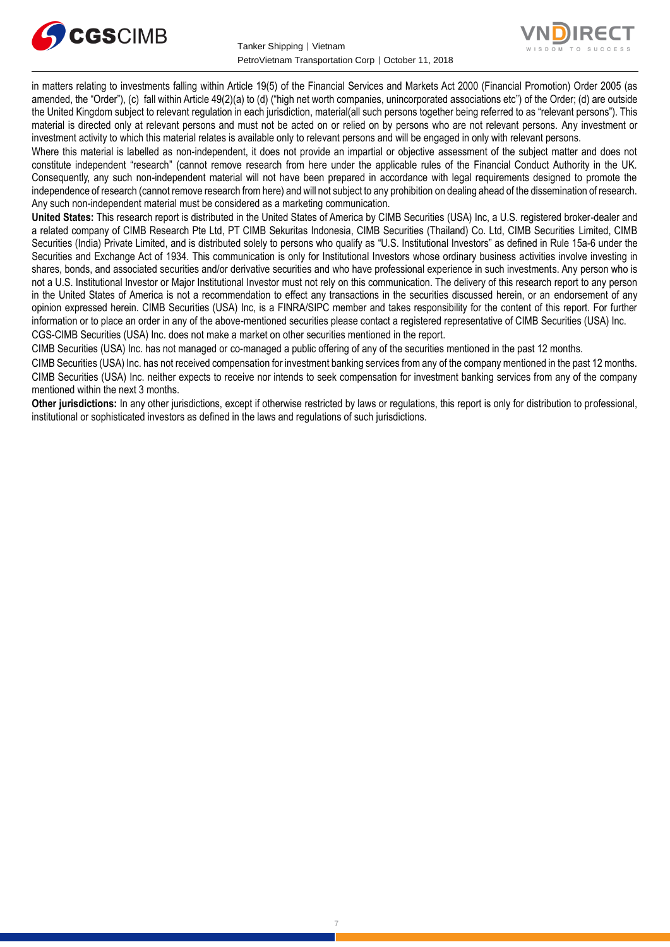



in matters relating to investments falling within Article 19(5) of the Financial Services and Markets Act 2000 (Financial Promotion) Order 2005 (as amended, the "Order"), (c) fall within Article 49(2)(a) to (d) ("high net worth companies, unincorporated associations etc") of the Order; (d) are outside the United Kingdom subject to relevant regulation in each jurisdiction, material(all such persons together being referred to as "relevant persons"). This material is directed only at relevant persons and must not be acted on or relied on by persons who are not relevant persons. Any investment or investment activity to which this material relates is available only to relevant persons and will be engaged in only with relevant persons.

Where this material is labelled as non-independent, it does not provide an impartial or objective assessment of the subject matter and does not constitute independent "research" (cannot remove research from here under the applicable rules of the Financial Conduct Authority in the UK. Consequently, any such non-independent material will not have been prepared in accordance with legal requirements designed to promote the independence of research (cannot remove research from here) and will not subject to any prohibition on dealing ahead of the dissemination of research. Any such non-independent material must be considered as a marketing communication.

**United States:** This research report is distributed in the United States of America by CIMB Securities (USA) Inc, a U.S. registered broker-dealer and a related company of CIMB Research Pte Ltd, PT CIMB Sekuritas Indonesia, CIMB Securities (Thailand) Co. Ltd, CIMB Securities Limited, CIMB Securities (India) Private Limited, and is distributed solely to persons who qualify as "U.S. Institutional Investors" as defined in Rule 15a-6 under the Securities and Exchange Act of 1934. This communication is only for Institutional Investors whose ordinary business activities involve investing in shares, bonds, and associated securities and/or derivative securities and who have professional experience in such investments. Any person who is not a U.S. Institutional Investor or Major Institutional Investor must not rely on this communication. The delivery of this research report to any person in the United States of America is not a recommendation to effect any transactions in the securities discussed herein, or an endorsement of any opinion expressed herein. CIMB Securities (USA) Inc, is a FINRA/SIPC member and takes responsibility for the content of this report. For further information or to place an order in any of the above-mentioned securities please contact a registered representative of CIMB Securities (USA) Inc. CGS-CIMB Securities (USA) Inc. does not make a market on other securities mentioned in the report.

CIMB Securities (USA) Inc. has not managed or co-managed a public offering of any of the securities mentioned in the past 12 months.

CIMB Securities (USA) Inc. has not received compensation for investment banking services from any of the company mentioned in the past 12 months. CIMB Securities (USA) Inc. neither expects to receive nor intends to seek compensation for investment banking services from any of the company mentioned within the next 3 months.

**Other jurisdictions:** In any other jurisdictions, except if otherwise restricted by laws or regulations, this report is only for distribution to professional, institutional or sophisticated investors as defined in the laws and regulations of such jurisdictions.